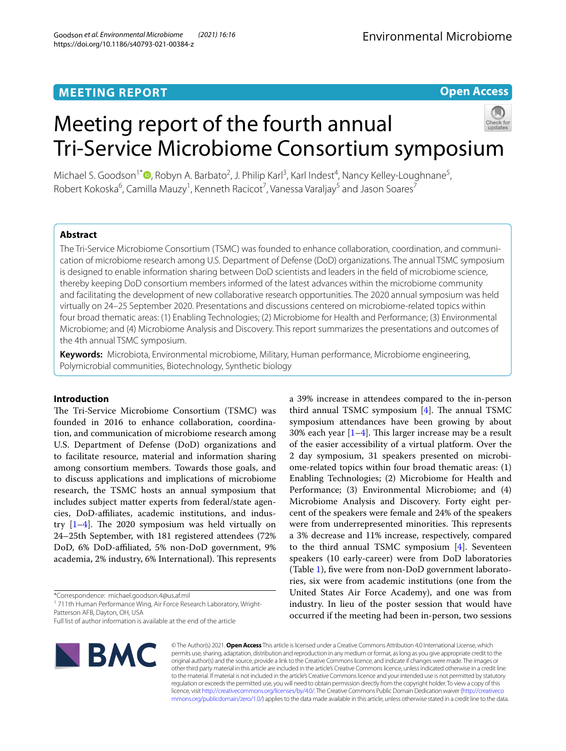# **MEETING REPORT**

# **Open Access**

# Meeting report of the fourth annual Tri-Service Microbiome Consortium symposium



Michael S. Goodson<sup>1\*</sup><sup>®</sup>[,](http://orcid.org/0000-0002-5004-551X) Robyn A. Barbato<sup>2</sup>, J. Philip Karl<sup>3</sup>, Karl Indest<sup>4</sup>, Nancy Kelley-Loughnane<sup>5</sup>, Robert Kokoska<sup>6</sup>, Camilla Mauzy<sup>1</sup>, Kenneth Racicot<sup>7</sup>, Vanessa Varaljay<sup>5</sup> and Jason Soares<sup>7</sup>

# **Abstract**

The Tri-Service Microbiome Consortium (TSMC) was founded to enhance collaboration, coordination, and communication of microbiome research among U.S. Department of Defense (DoD) organizations. The annual TSMC symposium is designed to enable information sharing between DoD scientists and leaders in the feld of microbiome science, thereby keeping DoD consortium members informed of the latest advances within the microbiome community and facilitating the development of new collaborative research opportunities. The 2020 annual symposium was held virtually on 24–25 September 2020. Presentations and discussions centered on microbiome-related topics within four broad thematic areas: (1) Enabling Technologies; (2) Microbiome for Health and Performance; (3) Environmental Microbiome; and (4) Microbiome Analysis and Discovery. This report summarizes the presentations and outcomes of the 4th annual TSMC symposium.

**Keywords:** Microbiota, Environmental microbiome, Military, Human performance, Microbiome engineering, Polymicrobial communities, Biotechnology, Synthetic biology

## **Introduction**

The Tri-Service Microbiome Consortium (TSMC) was founded in 2016 to enhance collaboration, coordination, and communication of microbiome research among U.S. Department of Defense (DoD) organizations and to facilitate resource, material and information sharing among consortium members. Towards those goals, and to discuss applications and implications of microbiome research, the TSMC hosts an annual symposium that includes subject matter experts from federal/state agencies, DoD-afliates, academic institutions, and industry  $[1-4]$  $[1-4]$ . The 2020 symposium was held virtually on 24–25th September, with 181 registered attendees (72% DoD, 6% DoD-afliated, 5% non-DoD government, 9% academia, 2% industry, 6% International). This represents

\*Correspondence: michael.goodson.4@us.af.mil

<sup>1</sup> 711th Human Performance Wing, Air Force Research Laboratory, Wright-Patterson AFB, Dayton, OH, USA

Full list of author information is available at the end of the article



© The Author(s) 2021. **Open Access** This article is licensed under a Creative Commons Attribution 4.0 International License, which permits use, sharing, adaptation, distribution and reproduction in any medium or format, as long as you give appropriate credit to the original author(s) and the source, provide a link to the Creative Commons licence, and indicate if changes were made. The images or other third party material in this article are included in the article's Creative Commons licence, unless indicated otherwise in a credit line to the material. If material is not included in the article's Creative Commons licence and your intended use is not permitted by statutory regulation or exceeds the permitted use, you will need to obtain permission directly from the copyright holder. To view a copy of this licence, visit [http://creativecommons.org/licenses/by/4.0/.](http://creativecommons.org/licenses/by/4.0/) The Creative Commons Public Domain Dedication waiver ([http://creativeco](http://creativecommons.org/publicdomain/zero/1.0/) [mmons.org/publicdomain/zero/1.0/](http://creativecommons.org/publicdomain/zero/1.0/)) applies to the data made available in this article, unless otherwise stated in a credit line to the data. industry. In lieu of the poster session that would have occurred if the meeting had been in-person, two sessions

a 39% increase in attendees compared to the in-person third annual TSMC symposium  $[4]$ . The annual TSMC symposium attendances have been growing by about 30% each year  $[1-4]$  $[1-4]$ . This larger increase may be a result of the easier accessibility of a virtual platform. Over the 2 day symposium, 31 speakers presented on microbiome-related topics within four broad thematic areas: (1) Enabling Technologies; (2) Microbiome for Health and Performance; (3) Environmental Microbiome; and (4) Microbiome Analysis and Discovery. Forty eight percent of the speakers were female and 24% of the speakers were from underrepresented minorities. This represents a 3% decrease and 11% increase, respectively, compared to the third annual TSMC symposium [\[4](#page-7-1)]. Seventeen speakers (10 early-career) were from DoD laboratories (Table [1\)](#page-1-0), fve were from non-DoD government laboratories, six were from academic institutions (one from the United States Air Force Academy), and one was from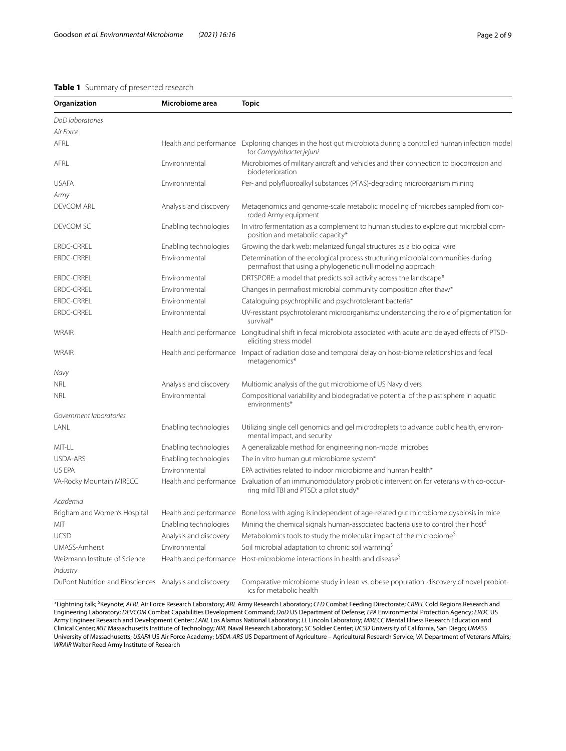## <span id="page-1-0"></span>**Table 1** Summary of presented research

| Organization                                            | Microbiome area        | <b>Topic</b>                                                                                                                                          |
|---------------------------------------------------------|------------------------|-------------------------------------------------------------------------------------------------------------------------------------------------------|
| DoD laboratories                                        |                        |                                                                                                                                                       |
| Air Force                                               |                        |                                                                                                                                                       |
| AFRL                                                    |                        | Health and performance Exploring changes in the host gut microbiota during a controlled human infection model<br>for Campylobacter jejuni             |
| AFRL                                                    | Environmental          | Microbiomes of military aircraft and vehicles and their connection to biocorrosion and<br>biodeterioration                                            |
| <b>USAFA</b>                                            | Environmental          | Per- and polyfluoroalkyl substances (PFAS)-degrading microorganism mining                                                                             |
| Army                                                    |                        |                                                                                                                                                       |
| <b>DEVCOM ARL</b>                                       | Analysis and discovery | Metagenomics and genome-scale metabolic modeling of microbes sampled from cor-<br>roded Army equipment                                                |
| DEVCOM SC                                               | Enabling technologies  | In vitro fermentation as a complement to human studies to explore gut microbial com-<br>position and metabolic capacity*                              |
| <b>ERDC-CRREL</b>                                       | Enabling technologies  | Growing the dark web: melanized fungal structures as a biological wire                                                                                |
| ERDC-CRREL                                              | Environmental          | Determination of the ecological process structuring microbial communities during<br>permafrost that using a phylogenetic null modeling approach       |
| <b>ERDC-CRREL</b>                                       | Environmental          | DRTSPORE: a model that predicts soil activity across the landscape*                                                                                   |
| <b>ERDC-CRREL</b>                                       | Environmental          | Changes in permafrost microbial community composition after thaw*                                                                                     |
| <b>ERDC-CRREL</b>                                       | Environmental          | Cataloguing psychrophilic and psychrotolerant bacteria*                                                                                               |
| <b>ERDC-CRREL</b>                                       | Environmental          | UV-resistant psychrotolerant microorganisms: understanding the role of pigmentation for<br>survival*                                                  |
| WRAIR                                                   |                        | Health and performance Longitudinal shift in fecal microbiota associated with acute and delayed effects of PTSD-<br>eliciting stress model            |
| WRAIR                                                   |                        | Health and performance Impact of radiation dose and temporal delay on host-biome relationships and fecal<br>metagenomics*                             |
| Navy                                                    |                        |                                                                                                                                                       |
| <b>NRL</b>                                              | Analysis and discovery | Multiomic analysis of the gut microbiome of US Navy divers                                                                                            |
| <b>NRL</b>                                              | Environmental          | Compositional variability and biodegradative potential of the plastisphere in aquatic<br>environments*                                                |
| Government laboratories                                 |                        |                                                                                                                                                       |
| LANL                                                    | Enabling technologies  | Utilizing single cell genomics and gel microdroplets to advance public health, environ-<br>mental impact, and security                                |
| MIT-LL                                                  | Enabling technologies  | A generalizable method for engineering non-model microbes                                                                                             |
| USDA-ARS                                                | Enabling technologies  | The in vitro human gut microbiome system*                                                                                                             |
| US EPA                                                  | Environmental          | EPA activities related to indoor microbiome and human health*                                                                                         |
| VA-Rocky Mountain MIRECC                                |                        | Health and performance Evaluation of an immunomodulatory probiotic intervention for veterans with co-occur-<br>ring mild TBI and PTSD: a pilot study* |
| Academia                                                |                        |                                                                                                                                                       |
| Brigham and Women's Hospital                            |                        | Health and performance Bone loss with aging is independent of age-related gut microbiome dysbiosis in mice                                            |
| MIT                                                     | Enabling technologies  | Mining the chemical signals human-associated bacteria use to control their host <sup>\$</sup>                                                         |
| <b>UCSD</b>                                             | Analysis and discovery | Metabolomics tools to study the molecular impact of the microbiome <sup>5</sup>                                                                       |
| <b>UMASS-Amherst</b>                                    | Environmental          | Soil microbial adaptation to chronic soil warming <sup>\$</sup>                                                                                       |
| Weizmann Institute of Science<br>Industry               | Health and performance | Host-microbiome interactions in health and disease <sup>\$</sup>                                                                                      |
| DuPont Nutrition and Biosciences Analysis and discovery |                        | Comparative microbiome study in lean vs. obese population: discovery of novel probiot-<br>ics for metabolic health                                    |

*\**Lightning talk; \$ Keynote; *AFRL* Air Force Research Laboratory; *ARL* Army Research Laboratory; *CFD* Combat Feeding Directorate; *CRREL* Cold Regions Research and Engineering Laboratory; *DEVCOM* Combat Capabilities Development Command; *DoD* US Department of Defense; *EPA* Environmental Protection Agency; *ERDC* US Army Engineer Research and Development Center; *LANL* Los Alamos National Laboratory; *LL* Lincoln Laboratory; *MIRECC* Mental Illness Research Education and Clinical Center; *MIT* Massachusetts Institute of Technology; *NRL* Naval Research Laboratory; *SC* Soldier Center; *UCSD* University of California, San Diego; *UMASS* University of Massachusetts; *USAFA* US Air Force Academy; *USDA-ARS* US Department of Agriculture – Agricultural Research Service; *VA* Department of Veterans Afairs; *WRAIR* Walter Reed Army Institute of Research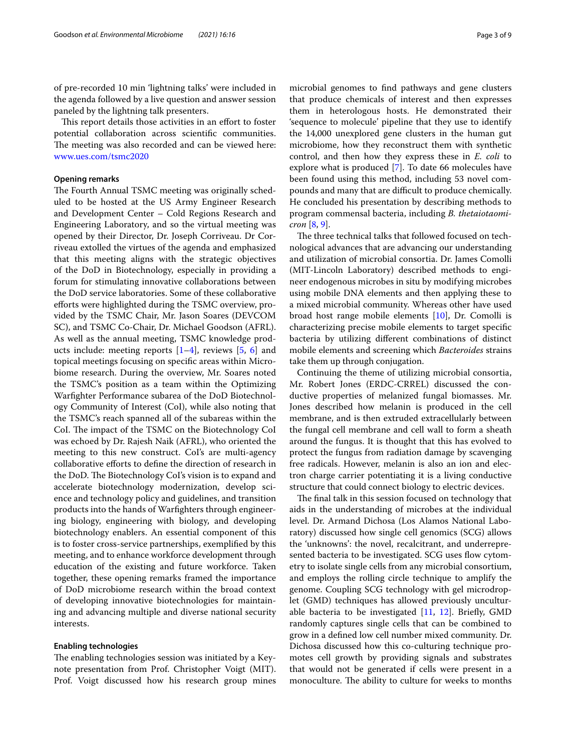This report details those activities in an effort to foster potential collaboration across scientifc communities. The meeting was also recorded and can be viewed here: [www.ues.com/tsmc2020](http://www.ues.com/tsmc2020)

#### **Opening remarks**

The Fourth Annual TSMC meeting was originally scheduled to be hosted at the US Army Engineer Research and Development Center – Cold Regions Research and Engineering Laboratory, and so the virtual meeting was opened by their Director, Dr. Joseph Corriveau. Dr Corriveau extolled the virtues of the agenda and emphasized that this meeting aligns with the strategic objectives of the DoD in Biotechnology, especially in providing a forum for stimulating innovative collaborations between the DoD service laboratories. Some of these collaborative eforts were highlighted during the TSMC overview, provided by the TSMC Chair, Mr. Jason Soares (DEVCOM SC), and TSMC Co-Chair, Dr. Michael Goodson (AFRL). As well as the annual meeting, TSMC knowledge products include: meeting reports  $[1-4]$  $[1-4]$  $[1-4]$ , reviews  $[5, 6]$  $[5, 6]$  $[5, 6]$  $[5, 6]$  and topical meetings focusing on specifc areas within Microbiome research. During the overview, Mr. Soares noted the TSMC's position as a team within the Optimizing Warfghter Performance subarea of the DoD Biotechnology Community of Interest (CoI), while also noting that the TSMC's reach spanned all of the subareas within the CoI. The impact of the TSMC on the Biotechnology CoI was echoed by Dr. Rajesh Naik (AFRL), who oriented the meeting to this new construct. CoI's are multi-agency collaborative eforts to defne the direction of research in the DoD. The Biotechnology CoI's vision is to expand and accelerate biotechnology modernization, develop science and technology policy and guidelines, and transition products into the hands of Warfghters through engineering biology, engineering with biology, and developing biotechnology enablers. An essential component of this is to foster cross-service partnerships, exemplifed by this meeting, and to enhance workforce development through education of the existing and future workforce. Taken together, these opening remarks framed the importance of DoD microbiome research within the broad context of developing innovative biotechnologies for maintaining and advancing multiple and diverse national security interests.

#### **Enabling technologies**

The enabling technologies session was initiated by a Keynote presentation from Prof. Christopher Voigt (MIT). Prof. Voigt discussed how his research group mines microbial genomes to fnd pathways and gene clusters that produce chemicals of interest and then expresses them in heterologous hosts. He demonstrated their 'sequence to molecule' pipeline that they use to identify the 14,000 unexplored gene clusters in the human gut microbiome, how they reconstruct them with synthetic control, and then how they express these in *E. coli* to explore what is produced [[7](#page-7-4)]. To date 66 molecules have been found using this method, including 53 novel compounds and many that are difficult to produce chemically. He concluded his presentation by describing methods to program commensal bacteria, including *B. thetaiotaomicron* [[8,](#page-7-5) [9](#page-7-6)].

The three technical talks that followed focused on technological advances that are advancing our understanding and utilization of microbial consortia. Dr. James Comolli (MIT-Lincoln Laboratory) described methods to engineer endogenous microbes in situ by modifying microbes using mobile DNA elements and then applying these to a mixed microbial community. Whereas other have used broad host range mobile elements [\[10](#page-7-7)], Dr. Comolli is characterizing precise mobile elements to target specifc bacteria by utilizing diferent combinations of distinct mobile elements and screening which *Bacteroides* strains take them up through conjugation.

Continuing the theme of utilizing microbial consortia, Mr. Robert Jones (ERDC-CRREL) discussed the conductive properties of melanized fungal biomasses. Mr. Jones described how melanin is produced in the cell membrane, and is then extruded extracellularly between the fungal cell membrane and cell wall to form a sheath around the fungus. It is thought that this has evolved to protect the fungus from radiation damage by scavenging free radicals. However, melanin is also an ion and electron charge carrier potentiating it is a living conductive structure that could connect biology to electric devices.

The final talk in this session focused on technology that aids in the understanding of microbes at the individual level. Dr. Armand Dichosa (Los Alamos National Laboratory) discussed how single cell genomics (SCG) allows the 'unknowns': the novel, recalcitrant, and underrepresented bacteria to be investigated. SCG uses flow cytometry to isolate single cells from any microbial consortium, and employs the rolling circle technique to amplify the genome. Coupling SCG technology with gel microdroplet (GMD) techniques has allowed previously unculturable bacteria to be investigated [\[11,](#page-7-8) [12](#page-8-0)]. Briefy, GMD randomly captures single cells that can be combined to grow in a defned low cell number mixed community. Dr. Dichosa discussed how this co-culturing technique promotes cell growth by providing signals and substrates that would not be generated if cells were present in a monoculture. The ability to culture for weeks to months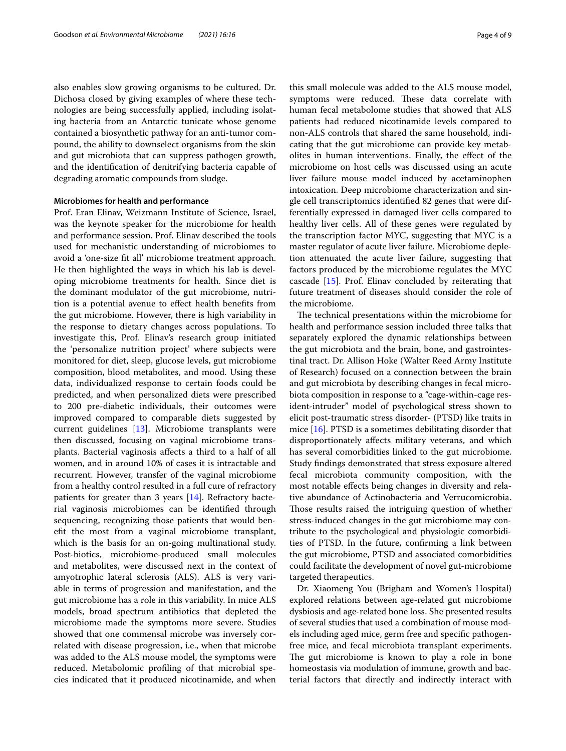also enables slow growing organisms to be cultured. Dr. Dichosa closed by giving examples of where these technologies are being successfully applied, including isolating bacteria from an Antarctic tunicate whose genome contained a biosynthetic pathway for an anti-tumor compound, the ability to downselect organisms from the skin and gut microbiota that can suppress pathogen growth, and the identifcation of denitrifying bacteria capable of degrading aromatic compounds from sludge.

#### **Microbiomes for health and performance**

Prof. Eran Elinav, Weizmann Institute of Science, Israel, was the keynote speaker for the microbiome for health and performance session. Prof. Elinav described the tools used for mechanistic understanding of microbiomes to avoid a 'one-size ft all' microbiome treatment approach. He then highlighted the ways in which his lab is developing microbiome treatments for health. Since diet is the dominant modulator of the gut microbiome, nutrition is a potential avenue to efect health benefts from the gut microbiome. However, there is high variability in the response to dietary changes across populations. To investigate this, Prof. Elinav's research group initiated the 'personalize nutrition project' where subjects were monitored for diet, sleep, glucose levels, gut microbiome composition, blood metabolites, and mood. Using these data, individualized response to certain foods could be predicted, and when personalized diets were prescribed to 200 pre-diabetic individuals, their outcomes were improved compared to comparable diets suggested by current guidelines [[13\]](#page-8-1). Microbiome transplants were then discussed, focusing on vaginal microbiome transplants. Bacterial vaginosis afects a third to a half of all women, and in around 10% of cases it is intractable and recurrent. However, transfer of the vaginal microbiome from a healthy control resulted in a full cure of refractory patients for greater than 3 years [\[14](#page-8-2)]. Refractory bacterial vaginosis microbiomes can be identifed through sequencing, recognizing those patients that would beneft the most from a vaginal microbiome transplant, which is the basis for an on-going multinational study. Post-biotics, microbiome-produced small molecules and metabolites, were discussed next in the context of amyotrophic lateral sclerosis (ALS). ALS is very variable in terms of progression and manifestation, and the gut microbiome has a role in this variability. In mice ALS models, broad spectrum antibiotics that depleted the microbiome made the symptoms more severe. Studies showed that one commensal microbe was inversely correlated with disease progression, i.e., when that microbe was added to the ALS mouse model, the symptoms were reduced. Metabolomic profling of that microbial species indicated that it produced nicotinamide, and when

this small molecule was added to the ALS mouse model, symptoms were reduced. These data correlate with human fecal metabolome studies that showed that ALS patients had reduced nicotinamide levels compared to non-ALS controls that shared the same household, indicating that the gut microbiome can provide key metabolites in human interventions. Finally, the efect of the microbiome on host cells was discussed using an acute liver failure mouse model induced by acetaminophen intoxication. Deep microbiome characterization and single cell transcriptomics identifed 82 genes that were differentially expressed in damaged liver cells compared to healthy liver cells. All of these genes were regulated by the transcription factor MYC, suggesting that MYC is a master regulator of acute liver failure. Microbiome depletion attenuated the acute liver failure, suggesting that factors produced by the microbiome regulates the MYC cascade [[15](#page-8-3)]. Prof. Elinav concluded by reiterating that future treatment of diseases should consider the role of the microbiome.

The technical presentations within the microbiome for health and performance session included three talks that separately explored the dynamic relationships between the gut microbiota and the brain, bone, and gastrointestinal tract. Dr. Allison Hoke (Walter Reed Army Institute of Research) focused on a connection between the brain and gut microbiota by describing changes in fecal microbiota composition in response to a "cage-within-cage resident-intruder" model of psychological stress shown to elicit post-traumatic stress disorder- (PTSD) like traits in mice [\[16\]](#page-8-4). PTSD is a sometimes debilitating disorder that disproportionately afects military veterans, and which has several comorbidities linked to the gut microbiome. Study fndings demonstrated that stress exposure altered fecal microbiota community composition, with the most notable efects being changes in diversity and relative abundance of Actinobacteria and Verrucomicrobia. Those results raised the intriguing question of whether stress-induced changes in the gut microbiome may contribute to the psychological and physiologic comorbidities of PTSD. In the future, confrming a link between the gut microbiome, PTSD and associated comorbidities could facilitate the development of novel gut-microbiome targeted therapeutics.

Dr. Xiaomeng You (Brigham and Women's Hospital) explored relations between age-related gut microbiome dysbiosis and age-related bone loss. She presented results of several studies that used a combination of mouse models including aged mice, germ free and specifc pathogenfree mice, and fecal microbiota transplant experiments. The gut microbiome is known to play a role in bone homeostasis via modulation of immune, growth and bacterial factors that directly and indirectly interact with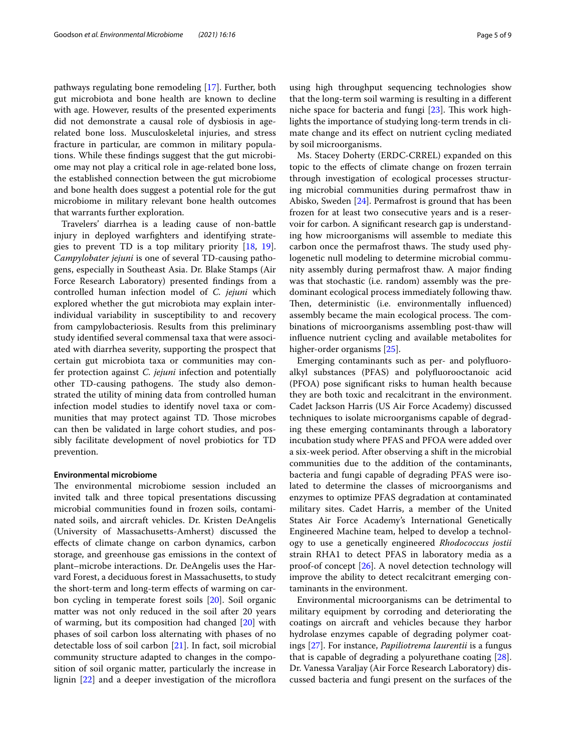pathways regulating bone remodeling [[17\]](#page-8-5). Further, both gut microbiota and bone health are known to decline with age. However, results of the presented experiments did not demonstrate a causal role of dysbiosis in agerelated bone loss. Musculoskeletal injuries, and stress fracture in particular, are common in military populations. While these fndings suggest that the gut microbiome may not play a critical role in age-related bone loss, the established connection between the gut microbiome and bone health does suggest a potential role for the gut microbiome in military relevant bone health outcomes that warrants further exploration.

Travelers' diarrhea is a leading cause of non-battle injury in deployed warfghters and identifying strategies to prevent TD is a top military priority [[18](#page-8-6), [19](#page-8-7)]. *Campylobater jejuni* is one of several TD-causing pathogens, especially in Southeast Asia. Dr. Blake Stamps (Air Force Research Laboratory) presented fndings from a controlled human infection model of *C. jejuni* which explored whether the gut microbiota may explain interindividual variability in susceptibility to and recovery from campylobacteriosis. Results from this preliminary study identifed several commensal taxa that were associated with diarrhea severity, supporting the prospect that certain gut microbiota taxa or communities may confer protection against *C. jejuni* infection and potentially other TD-causing pathogens. The study also demonstrated the utility of mining data from controlled human infection model studies to identify novel taxa or communities that may protect against TD. Those microbes can then be validated in large cohort studies, and possibly facilitate development of novel probiotics for TD prevention.

#### **Environmental microbiome**

The environmental microbiome session included an invited talk and three topical presentations discussing microbial communities found in frozen soils, contaminated soils, and aircraft vehicles. Dr. Kristen DeAngelis (University of Massachusetts-Amherst) discussed the efects of climate change on carbon dynamics, carbon storage, and greenhouse gas emissions in the context of plant–microbe interactions. Dr. DeAngelis uses the Harvard Forest, a deciduous forest in Massachusetts, to study the short-term and long-term efects of warming on carbon cycling in temperate forest soils [[20\]](#page-8-8). Soil organic matter was not only reduced in the soil after 20 years of warming, but its composition had changed [[20\]](#page-8-8) with phases of soil carbon loss alternating with phases of no detectable loss of soil carbon [\[21](#page-8-9)]. In fact, soil microbial community structure adapted to changes in the composition of soil organic matter, particularly the increase in lignin  $[22]$  $[22]$  and a deeper investigation of the microflora using high throughput sequencing technologies show that the long-term soil warming is resulting in a diferent niche space for bacteria and fungi  $[23]$  $[23]$  $[23]$ . This work highlights the importance of studying long-term trends in climate change and its efect on nutrient cycling mediated by soil microorganisms.

Ms. Stacey Doherty (ERDC-CRREL) expanded on this topic to the efects of climate change on frozen terrain through investigation of ecological processes structuring microbial communities during permafrost thaw in Abisko, Sweden [[24\]](#page-8-12). Permafrost is ground that has been frozen for at least two consecutive years and is a reservoir for carbon. A signifcant research gap is understanding how microorganisms will assemble to mediate this carbon once the permafrost thaws. The study used phylogenetic null modeling to determine microbial community assembly during permafrost thaw. A major fnding was that stochastic (i.e. random) assembly was the predominant ecological process immediately following thaw. Then, deterministic (i.e. environmentally influenced) assembly became the main ecological process. The combinations of microorganisms assembling post-thaw will infuence nutrient cycling and available metabolites for higher-order organisms [[25](#page-8-13)].

Emerging contaminants such as per- and polyfuoroalkyl substances (PFAS) and polyfuorooctanoic acid (PFOA) pose signifcant risks to human health because they are both toxic and recalcitrant in the environment. Cadet Jackson Harris (US Air Force Academy) discussed techniques to isolate microorganisms capable of degrading these emerging contaminants through a laboratory incubation study where PFAS and PFOA were added over a six-week period. After observing a shift in the microbial communities due to the addition of the contaminants, bacteria and fungi capable of degrading PFAS were isolated to determine the classes of microorganisms and enzymes to optimize PFAS degradation at contaminated military sites. Cadet Harris, a member of the United States Air Force Academy's International Genetically Engineered Machine team, helped to develop a technology to use a genetically engineered *Rhodococcus jostii* strain RHA1 to detect PFAS in laboratory media as a proof-of concept [\[26](#page-8-14)]. A novel detection technology will improve the ability to detect recalcitrant emerging contaminants in the environment.

Environmental microorganisms can be detrimental to military equipment by corroding and deteriorating the coatings on aircraft and vehicles because they harbor hydrolase enzymes capable of degrading polymer coatings [\[27](#page-8-15)]. For instance, *Papiliotrema laurentii* is a fungus that is capable of degrading a polyurethane coating [\[28](#page-8-16)]. Dr. Vanessa Varaljay (Air Force Research Laboratory) discussed bacteria and fungi present on the surfaces of the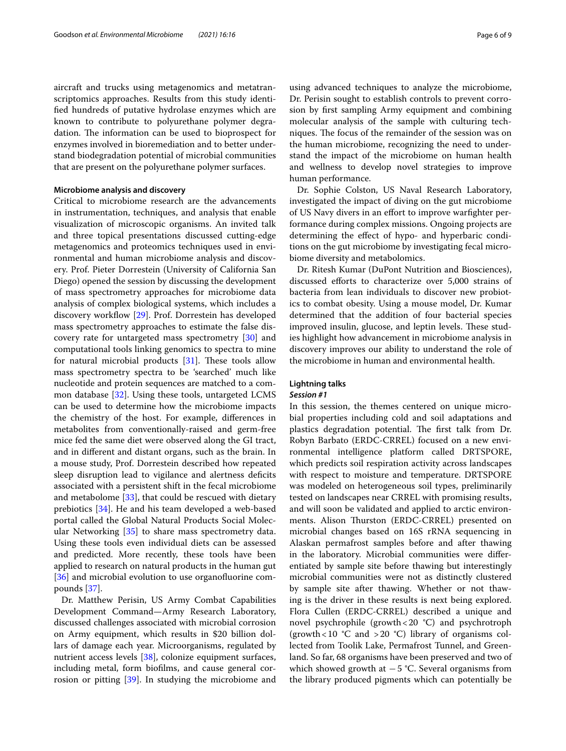aircraft and trucks using metagenomics and metatranscriptomics approaches. Results from this study identifed hundreds of putative hydrolase enzymes which are known to contribute to polyurethane polymer degradation. The information can be used to bioprospect for enzymes involved in bioremediation and to better understand biodegradation potential of microbial communities that are present on the polyurethane polymer surfaces.

## **Microbiome analysis and discovery**

Critical to microbiome research are the advancements in instrumentation, techniques, and analysis that enable visualization of microscopic organisms. An invited talk and three topical presentations discussed cutting-edge metagenomics and proteomics techniques used in environmental and human microbiome analysis and discovery. Prof. Pieter Dorrestein (University of California San Diego) opened the session by discussing the development of mass spectrometry approaches for microbiome data analysis of complex biological systems, which includes a discovery workflow [\[29](#page-8-17)]. Prof. Dorrestein has developed mass spectrometry approaches to estimate the false discovery rate for untargeted mass spectrometry [\[30](#page-8-18)] and computational tools linking genomics to spectra to mine for natural microbial products  $[31]$  $[31]$ . These tools allow mass spectrometry spectra to be 'searched' much like nucleotide and protein sequences are matched to a common database [[32\]](#page-8-20). Using these tools, untargeted LCMS can be used to determine how the microbiome impacts the chemistry of the host. For example, diferences in metabolites from conventionally-raised and germ-free mice fed the same diet were observed along the GI tract, and in diferent and distant organs, such as the brain. In a mouse study, Prof. Dorrestein described how repeated sleep disruption lead to vigilance and alertness deficits associated with a persistent shift in the fecal microbiome and metabolome [[33\]](#page-8-21), that could be rescued with dietary prebiotics [[34](#page-8-22)]. He and his team developed a web-based portal called the Global Natural Products Social Molecular Networking [[35](#page-8-23)] to share mass spectrometry data. Using these tools even individual diets can be assessed and predicted. More recently, these tools have been applied to research on natural products in the human gut [[36\]](#page-8-24) and microbial evolution to use organofluorine compounds [[37](#page-8-25)].

Dr. Matthew Perisin, US Army Combat Capabilities Development Command—Army Research Laboratory, discussed challenges associated with microbial corrosion on Army equipment, which results in \$20 billion dollars of damage each year. Microorganisms, regulated by nutrient access levels [\[38](#page-8-26)], colonize equipment surfaces, including metal, form bioflms, and cause general corrosion or pitting [[39\]](#page-8-27). In studying the microbiome and using advanced techniques to analyze the microbiome, Dr. Perisin sought to establish controls to prevent corrosion by frst sampling Army equipment and combining molecular analysis of the sample with culturing techniques. The focus of the remainder of the session was on the human microbiome, recognizing the need to understand the impact of the microbiome on human health and wellness to develop novel strategies to improve human performance.

Dr. Sophie Colston, US Naval Research Laboratory, investigated the impact of diving on the gut microbiome of US Navy divers in an efort to improve warfghter performance during complex missions. Ongoing projects are determining the efect of hypo- and hyperbaric conditions on the gut microbiome by investigating fecal microbiome diversity and metabolomics.

Dr. Ritesh Kumar (DuPont Nutrition and Biosciences), discussed eforts to characterize over 5,000 strains of bacteria from lean individuals to discover new probiotics to combat obesity. Using a mouse model, Dr. Kumar determined that the addition of four bacterial species improved insulin, glucose, and leptin levels. These studies highlight how advancement in microbiome analysis in discovery improves our ability to understand the role of the microbiome in human and environmental health.

# **Lightning talks**

# *Session #1*

In this session, the themes centered on unique microbial properties including cold and soil adaptations and plastics degradation potential. The first talk from Dr. Robyn Barbato (ERDC-CRREL) focused on a new environmental intelligence platform called DRTSPORE, which predicts soil respiration activity across landscapes with respect to moisture and temperature. DRTSPORE was modeled on heterogeneous soil types, preliminarily tested on landscapes near CRREL with promising results, and will soon be validated and applied to arctic environments. Alison Thurston (ERDC-CRREL) presented on microbial changes based on 16S rRNA sequencing in Alaskan permafrost samples before and after thawing in the laboratory. Microbial communities were diferentiated by sample site before thawing but interestingly microbial communities were not as distinctly clustered by sample site after thawing. Whether or not thawing is the driver in these results is next being explored. Flora Cullen (ERDC-CRREL) described a unique and novel psychrophile (growth  $<$  20  $^{\circ}$ C) and psychrotroph (growth <10  $°C$  and >20  $°C$ ) library of organisms collected from Toolik Lake, Permafrost Tunnel, and Greenland. So far, 68 organisms have been preserved and two of which showed growth at −5 °C. Several organisms from the library produced pigments which can potentially be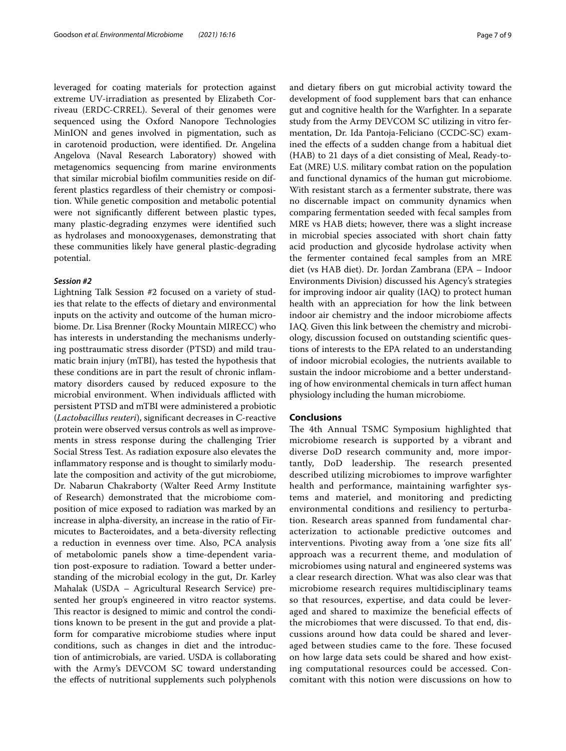leveraged for coating materials for protection against extreme UV-irradiation as presented by Elizabeth Corriveau (ERDC-CRREL). Several of their genomes were sequenced using the Oxford Nanopore Technologies MinION and genes involved in pigmentation, such as in carotenoid production, were identifed. Dr. Angelina Angelova (Naval Research Laboratory) showed with metagenomics sequencing from marine environments that similar microbial bioflm communities reside on different plastics regardless of their chemistry or composition. While genetic composition and metabolic potential were not signifcantly diferent between plastic types, many plastic-degrading enzymes were identifed such as hydrolases and monooxygenases, demonstrating that these communities likely have general plastic-degrading potential.

#### *Session #2*

Lightning Talk Session #2 focused on a variety of studies that relate to the efects of dietary and environmental inputs on the activity and outcome of the human microbiome. Dr. Lisa Brenner (Rocky Mountain MIRECC) who has interests in understanding the mechanisms underlying posttraumatic stress disorder (PTSD) and mild traumatic brain injury (mTBI), has tested the hypothesis that these conditions are in part the result of chronic infammatory disorders caused by reduced exposure to the microbial environment. When individuals afflicted with persistent PTSD and mTBI were administered a probiotic (*Lactobacillus reuteri*), signifcant decreases in C-reactive protein were observed versus controls as well as improvements in stress response during the challenging Trier Social Stress Test. As radiation exposure also elevates the infammatory response and is thought to similarly modulate the composition and activity of the gut microbiome, Dr. Nabarun Chakraborty (Walter Reed Army Institute of Research) demonstrated that the microbiome composition of mice exposed to radiation was marked by an increase in alpha-diversity, an increase in the ratio of Firmicutes to Bacteroidates, and a beta-diversity refecting a reduction in evenness over time. Also, PCA analysis of metabolomic panels show a time-dependent variation post-exposure to radiation. Toward a better understanding of the microbial ecology in the gut, Dr. Karley Mahalak (USDA – Agricultural Research Service) presented her group's engineered in vitro reactor systems. This reactor is designed to mimic and control the conditions known to be present in the gut and provide a platform for comparative microbiome studies where input conditions, such as changes in diet and the introduction of antimicrobials, are varied. USDA is collaborating with the Army's DEVCOM SC toward understanding the efects of nutritional supplements such polyphenols and dietary fbers on gut microbial activity toward the development of food supplement bars that can enhance gut and cognitive health for the Warfghter. In a separate study from the Army DEVCOM SC utilizing in vitro fermentation, Dr. Ida Pantoja-Feliciano (CCDC-SC) examined the efects of a sudden change from a habitual diet (HAB) to 21 days of a diet consisting of Meal, Ready-to-Eat (MRE) U.S. military combat ration on the population and functional dynamics of the human gut microbiome. With resistant starch as a fermenter substrate, there was no discernable impact on community dynamics when comparing fermentation seeded with fecal samples from MRE vs HAB diets; however, there was a slight increase in microbial species associated with short chain fatty acid production and glycoside hydrolase activity when the fermenter contained fecal samples from an MRE diet (vs HAB diet). Dr. Jordan Zambrana (EPA – Indoor Environments Division) discussed his Agency's strategies for improving indoor air quality (IAQ) to protect human health with an appreciation for how the link between indoor air chemistry and the indoor microbiome afects IAQ. Given this link between the chemistry and microbiology, discussion focused on outstanding scientifc questions of interests to the EPA related to an understanding of indoor microbial ecologies, the nutrients available to sustain the indoor microbiome and a better understanding of how environmental chemicals in turn afect human physiology including the human microbiome.

#### **Conclusions**

The 4th Annual TSMC Symposium highlighted that microbiome research is supported by a vibrant and diverse DoD research community and, more importantly, DoD leadership. The research presented described utilizing microbiomes to improve warfghter health and performance, maintaining warfghter systems and materiel, and monitoring and predicting environmental conditions and resiliency to perturbation. Research areas spanned from fundamental characterization to actionable predictive outcomes and interventions. Pivoting away from a 'one size fts all' approach was a recurrent theme, and modulation of microbiomes using natural and engineered systems was a clear research direction. What was also clear was that microbiome research requires multidisciplinary teams so that resources, expertise, and data could be leveraged and shared to maximize the benefcial efects of the microbiomes that were discussed. To that end, discussions around how data could be shared and leveraged between studies came to the fore. These focused on how large data sets could be shared and how existing computational resources could be accessed. Concomitant with this notion were discussions on how to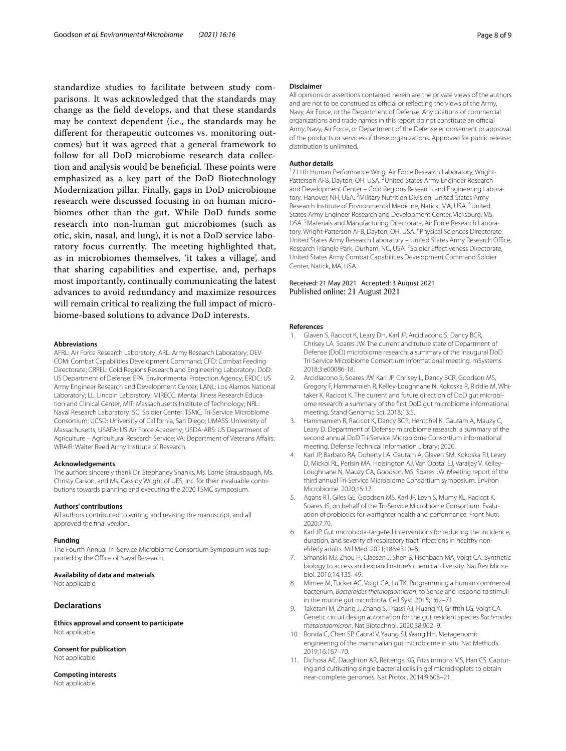standardize studies to facilitate between study comparisons. It was acknowledged that the standards may change as the feld develops, and that these standards may be context dependent (i.e., the standards may be diferent for therapeutic outcomes vs. monitoring outcomes) but it was agreed that a general framework to follow for all DoD microbiome research data collection and analysis would be beneficial. These points were emphasized as a key part of the DoD Biotechnology Modernization pillar. Finally, gaps in DoD microbiome research were discussed focusing in on human microbiomes other than the gut. While DoD funds some research into non-human gut microbiomes (such as otic, skin, nasal, and lung), it is not a DoD service laboratory focus currently. The meeting highlighted that, as in microbiomes themselves, 'it takes a village', and that sharing capabilities and expertise, and, perhaps most importantly, continually communicating the latest advances to avoid redundancy and maximize resources will remain critical to realizing the full impact of microbiome-based solutions to advance DoD interests.

#### **Abbreviations**

AFRL: Air Force Research Laboratory; ARL: Army Research Laboratory; DEV-COM: Combat Capabilities Development Command; CFD: Combat Feeding Directorate; CRREL: Cold Regions Research and Engineering Laboratory; DoD: US Department of Defense; EPA: Environmental Protection Agency; ERDC: US Army Engineer Research and Development Center; LANL: Los Alamos National Laboratory; LL: Lincoln Laboratory; MIRECC: Mental Illness Research Education and Clinical Center; MIT: Massachusetts Institute of Technology; NRL: Naval Research Laboratory; SC: Soldier Center; TSMC: Tri-Service Microbiome Consortium; UCSD: University of California, San Diego; UMASS: University of Massachusetts; USAFA: US Air Force Academy; USDA-ARS: US Department of Agriculture – Agricultural Research Service; VA: Department of Veterans Afairs; WRAIR: Walter Reed Army Institute of Research.

#### **Acknowledgements**

The authors sincerely thank Dr. Stephaney Shanks, Ms. Lorrie Strausbaugh, Ms. Christy Carson, and Ms. Cassidy Wright of UES, Inc. for their invaluable contributions towards planning and executing the 2020 TSMC symposium.

#### **Authors' contributions**

All authors contributed to writing and revising the manuscript, and all approved the fnal version.

#### **Funding**

The Fourth Annual Tri-Service Microbiome Consortium Symposium was supported by the Office of Naval Research.

#### **Availability of data and materials**

Not applicable.

## **Declarations**

**Ethics approval and consent to participate** Not applicable.

#### **Consent for publication**

Not applicable.

**Competing interests** Not applicable.

#### **Disclaimer**

All opinions or assertions contained herein are the private views of the authors and are not to be construed as official or reflecting the views of the Army, Navy, Air Force, or the Department of Defense. Any citations of commercial organizations and trade names in this report do not constitute an official Army, Navy, Air Force, or Department of the Defense endorsement or approval of the products or services of these organizations. Approved for public release; distribution is unlimited.

#### **Author details**

<sup>1</sup>711th Human Performance Wing, Air Force Research Laboratory, Wright-Patterson AFB, Dayton, OH, USA. <sup>2</sup> United States Army Engineer Research and Development Center – Cold Regions Research and Engineering Laboratory, Hanover, NH, USA.<sup>3</sup> Military Nutrition Division, United States Army Research Institute of Environmental Medicine, Natick, MA, USA. <sup>4</sup>United States Army Engineer Research and Development Center, Vicksburg, MS, USA.<sup>5</sup> Materials and Manufacturing Directorate, Air Force Research Laboratory, Wright-Patterson AFB, Dayton, OH, USA. <sup>6</sup> Physical Sciences Directorate, United States Army Research Laboratory - United States Army Research Office, Research Triangle Park, Durham, NC, USA. <sup>7</sup>Soldier Effectiveness Directorate, United States Army Combat Capabilities Development Command Soldier Center, Natick, MA, USA.

#### Received: 21 May 2021 Accepted: 3 August 2021 Published online: 21 August 2021

#### **References**

- <span id="page-7-0"></span>Glaven S, Racicot K, Leary DH, Karl JP, Arcidiacono S, Dancy BCR, Chrisey LA, Soares JW. The current and tuture state of Department of Defense (DoD) microbiome research: a summary of the inaugural DoD Tri-Service Microbiome Consortium informational meeting. mSystems. 2018;3:e00086-18.
- 2. Arcidiacono S, Soares JW, Karl JP, Chrisey L, Dancy BCR, Goodson MS, Gregory F, Hammamieh R, Kelley-Loughnane N, Kokoska R, Riddle M, Whitaker K, Racicot K. The current and future direction of DoD gut microbiome research: a summary of the frst DoD gut microbiome informational meeting. Stand Genomic Sci. 2018;13:5.
- 3. Hammamieh R, Racicot K, Dancy BCR, Hentchel K, Gautam A, Mauzy C, Leary D. Department of Defense microbiome research: a summary of the second annual DoD Tri-Service Microbiome Consortium informational meeting. Defense Technical Information Library; 2020.
- <span id="page-7-1"></span>4. Karl JP, Barbato RA, Doherty LA, Gautam A, Glaven SM, Kokoska RJ, Leary D, Mickol RL, Perisin MA, Hoisington AJ, Van Opstal EJ, Varaljay V, Kelley-Loughnane N, Mauzy CA, Goodson MS, Soares JW. Meeting report of the third annual Tri-Service Microbiome Consortium symposium. Environ Microbiome. 2020;15:12.
- <span id="page-7-2"></span>5. Agans RT, Giles GE, Goodson MS, Karl JP, Leyh S, Mumy KL, Racicot K, Soares JS, on behalf of the Tri-Service Microbiome Consortium. Evaluation of probiotics for warfghter health and performance. Front Nutr. 2020;7:70.
- <span id="page-7-3"></span>6. Karl JP. Gut microbiota-targeted interventions for reducing the incidence, duration, and severity of respiratory tract infections in healthy nonelderly adults. Mil Med. 2021;186:e310–8.
- <span id="page-7-4"></span>7. Smanski MJ, Zhou H, Claesen J, Shen B, Fischbach MA, Voigt CA. Synthetic biology to access and expand nature's chemical diversity. Nat Rev Microbiol. 2016;14:135–49.
- <span id="page-7-5"></span>8. Mimee M, Tucker AC, Voigt CA, Lu TK. Programming a human commensal bacterium, *Bacteroides thetaiotaomicron*, to Sense and respond to stimuli in the murine gut microbiota. Cell Syst. 2015;1:62–71.
- <span id="page-7-6"></span>9. Taketani M, Zhang J, Zhang S, Triassi AJ, Huang YJ, Grifth LG, Voigt CA. Genetic circuit design automation for the gut resident species *Bacteroides thetaiotaomicron*. Nat Biotechnol. 2020;38:962–9.
- <span id="page-7-7"></span>10. Ronda C, Chen SP, Cabral V, Yaung SJ, Wang HH. Metagenomic engineering of the mammalian gut microbiome in situ. Nat Methods. 2019;16:167–70.
- <span id="page-7-8"></span>11. Dichosa AE, Daughton AR, Reitenga KG, Fitzsimmons MS, Han CS. Capturing and cultivating single bacterial cells in gel microdroplets to obtain near-complete genomes. Nat Protoc. 2014;9:608–21.